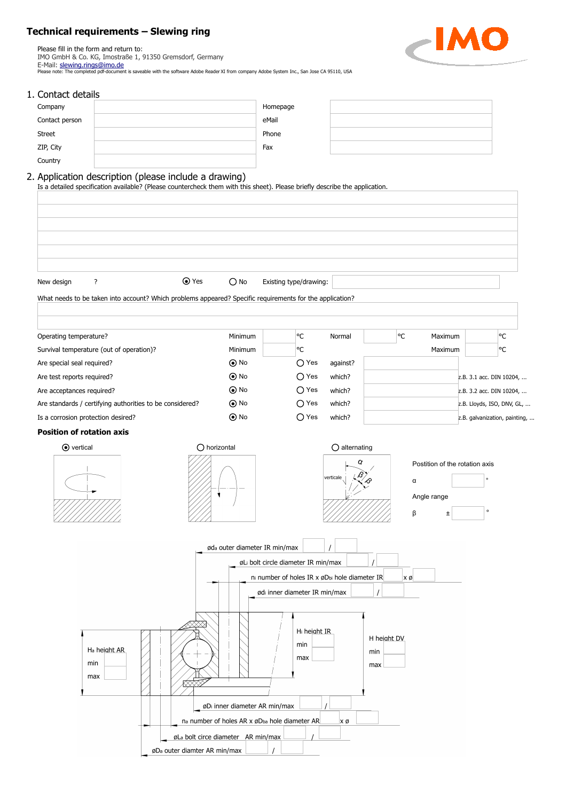## **Technical requirements – Slewing ring**

Please fill in the form and return to: IMO GmbH & Co. KG, Imostraße 1, 91350 Gremsdorf, Germany E-Mail: <u>slewing.rings@imo.de</u><br>Please note: The completed pdf-document is saveable with the software Adobe Reader XI from company Adobe System Inc., San Jose CA 95110, USA



### 1. Contact details

| Company        | Homepage |  |
|----------------|----------|--|
| Contact person | eMail    |  |
| <b>Street</b>  | Phone    |  |
| ZIP, City      | Fax      |  |
| Country        |          |  |

## 2. Application description (please include a drawing)

Is a detailed specification available? (Please countercheck them with this sheet). Please briefly describe the application.

| $\odot$ Yes<br>?<br>New design                                                                           | $\bigcirc$ No                                 | Existing type/drawing:                        |                        |                           |                                                    |                               |
|----------------------------------------------------------------------------------------------------------|-----------------------------------------------|-----------------------------------------------|------------------------|---------------------------|----------------------------------------------------|-------------------------------|
| What needs to be taken into account? Which problems appeared? Specific requirements for the application? |                                               |                                               |                        |                           |                                                    |                               |
| Operating temperature?                                                                                   | Minimum                                       | ∣°C                                           | Normal                 | °C                        | Maximum                                            | °€                            |
| Survival temperature (out of operation)?                                                                 | Minimum                                       | °C                                            |                        |                           | Maximum                                            | $\circ$ C                     |
| Are special seal required?                                                                               | $\odot$ No                                    | $\bigcirc$ Yes                                | against?               |                           |                                                    |                               |
| Are test reports required?                                                                               | $\odot$ No                                    | $\bigcirc$ Yes                                | which?                 |                           |                                                    | z.B. 3.1 acc. DIN 10204,      |
| Are acceptances required?                                                                                | $\odot$ No                                    | $\bigcirc$ Yes                                | which?                 |                           |                                                    | z.B. 3.2 acc. DIN 10204,      |
| Are standards / certifying authorities to be considered?                                                 | $\odot$ No                                    | $\bigcirc$ Yes                                | which?                 |                           |                                                    | z.B. Lloyds, ISO, DNV, GL,    |
| Is a corrosion protection desired?                                                                       | $\odot$ No                                    | $\bigcirc$ Yes                                | which?                 |                           |                                                    | z.B. galvanization, painting, |
| <b>Position of rotation axis</b>                                                                         |                                               |                                               |                        |                           |                                                    |                               |
| $\odot$ vertical                                                                                         | $\bigcirc$ horizontal                         |                                               | $\bigcirc$ alternating |                           |                                                    |                               |
|                                                                                                          |                                               |                                               | verticale              | α<br>β                    | Postition of the rotation axis<br>Angle range<br>Ŧ | $\circ$<br>$\circ$            |
|                                                                                                          | øda outer diameter IR min/max                 |                                               |                        |                           |                                                    |                               |
|                                                                                                          |                                               | øLi bolt circle diameter IR min/max           |                        |                           |                                                    |                               |
|                                                                                                          |                                               | ni number of holes IR x øDbi hole diameter IR |                        | $x \varnothing$           |                                                    |                               |
|                                                                                                          |                                               | ødi inner diameter IR min/max                 |                        |                           |                                                    |                               |
| H <sub>a</sub> height AR<br>min<br>max                                                                   |                                               | H <sub>i</sub> height IR<br>min<br>max        |                        | H hejaht DV<br>min<br>max |                                                    |                               |
|                                                                                                          | øDi inner diameter AR min/max                 |                                               |                        |                           |                                                    |                               |
|                                                                                                          | na number of holes AR x øDba hole diameter AR |                                               | χø                     |                           |                                                    |                               |
|                                                                                                          | øLa bolt circe diameter AR min/max            |                                               |                        |                           |                                                    |                               |
|                                                                                                          | øD <sub>a</sub> outer diamter AR min/max      |                                               |                        |                           |                                                    |                               |